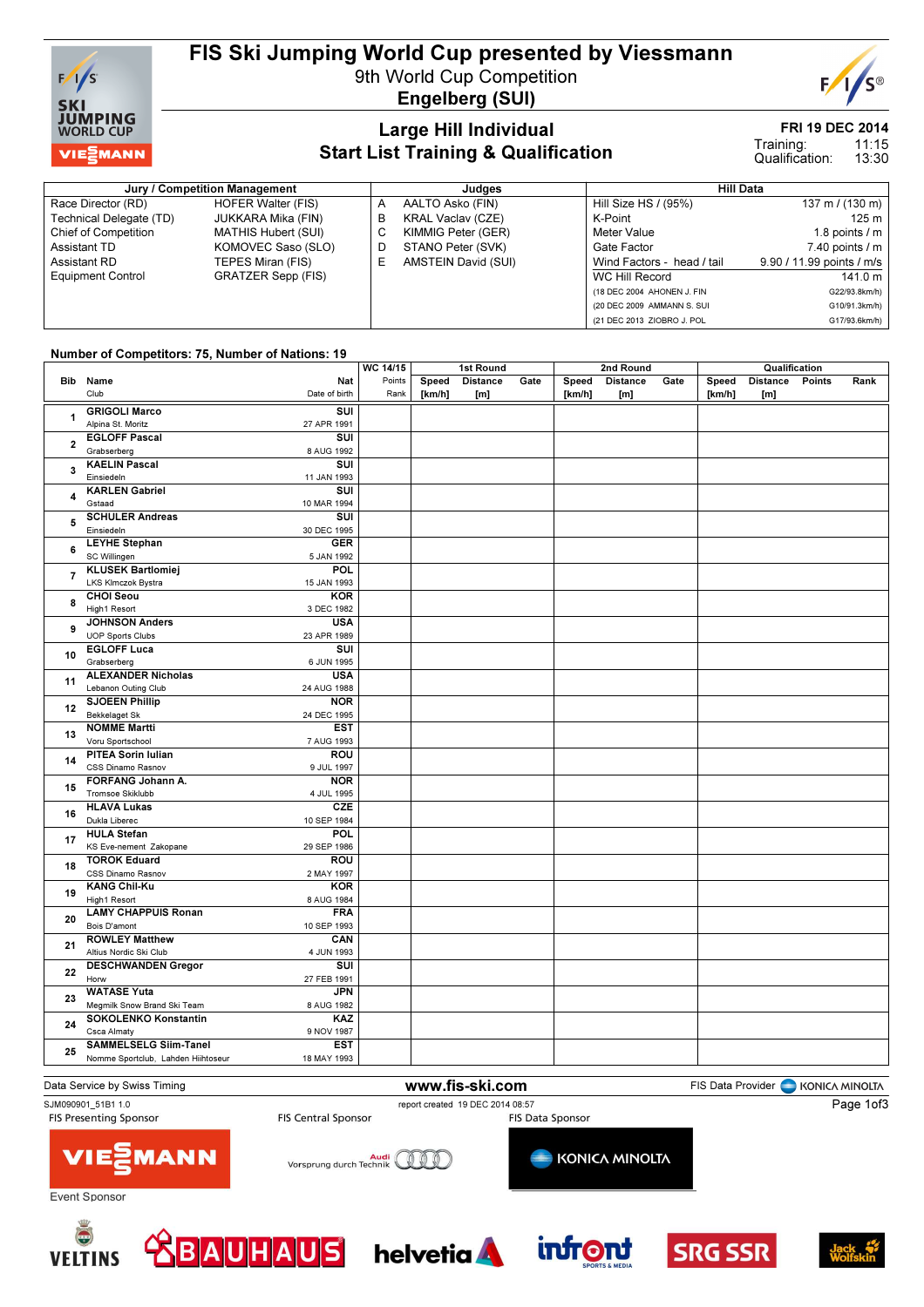

# FIS Ski Jumping World Cup presented by Viessmann

9th World Cup Competition Engelberg (SUI)



### FRI 19 DEC 2014

### Large Hill Individual Start List Training & Qualification

#### 11:15 13:30 Training: Qualification:

Jury / Competition Management de Later and Judges and Judges Hill Data Race Director (RD) HOFER Walter (FIS)<br>Technical Delegate (TD) JUKKARA Mika (FIN) Technical Delegate (TD)<br>Chief of Competition Assistant TD **KOMOVEC Saso (SLO)**<br>Assistant RD **TEPES Miran (FIS)** Equipment Control GRATZER Sepp (FIS)

**MATHIS Hubert (SUI)** TEPES Miran (FIS)

A AALTO Asko (FIN)<br>B KRAL Vaclav (CZE KRAL Vaclav (CZE) C KIMMIG Peter (GER) D STANO Peter (SVK)<br>E AMSTEIN David (SU AMSTEIN David (SUI)

| niil vald                  |                           |
|----------------------------|---------------------------|
| Hill Size HS / (95%)       | 137 m / (130 m)           |
| K-Point                    | 125 <sub>m</sub>          |
| Meter Value                | 1.8 points $\sqrt{}$ m    |
| Gate Factor                | $7.40$ points $/ m$       |
| Wind Factors - head / tail | 9.90 / 11.99 points / m/s |
| WC Hill Record             | 141.0 m                   |
| (18 DEC 2004 AHONEN J. FIN | G22/93.8km/h)             |
| (20 DEC 2009 AMMANN S. SUI | G10/91.3km/h)             |
| (21 DEC 2013 ZIOBRO J. POL | G17/93.6km/h)             |

### Number of Competitors: 75, Number of Nations: 19

|                         |                                                      |        | WC 14/15<br>1st Round |                 | 2nd Round |        |                | Qualification |        |                 |        |      |
|-------------------------|------------------------------------------------------|--------|-----------------------|-----------------|-----------|--------|----------------|---------------|--------|-----------------|--------|------|
|                         | Bib Name<br><b>Nat</b>                               | Points | Speed                 | <b>Distance</b> | Gate      |        | Speed Distance | Gate          | Speed  | <b>Distance</b> | Points | Rank |
|                         | Club<br>Date of birth                                | Rank   | [km/h]                | [m]             |           | [km/h] | [m]            |               | [km/h] | [m]             |        |      |
|                         | <b>GRIGOLI Marco</b><br>SUI                          |        |                       |                 |           |        |                |               |        |                 |        |      |
| 1                       | Alpina St. Moritz<br>27 APR 1991                     |        |                       |                 |           |        |                |               |        |                 |        |      |
|                         |                                                      |        |                       |                 |           |        |                |               |        |                 |        |      |
| $\mathbf{2}$            | <b>EGLOFF Pascal</b><br>SUI                          |        |                       |                 |           |        |                |               |        |                 |        |      |
|                         | Grabserberg<br>8 AUG 1992                            |        |                       |                 |           |        |                |               |        |                 |        |      |
| $\overline{\mathbf{3}}$ | <b>KAELIN Pascal</b><br>SUI                          |        |                       |                 |           |        |                |               |        |                 |        |      |
|                         | Einsiedeln<br>11 JAN 1993                            |        |                       |                 |           |        |                |               |        |                 |        |      |
| 4                       | <b>KARLEN Gabriel</b><br>SUI                         |        |                       |                 |           |        |                |               |        |                 |        |      |
|                         | Gstaad<br>10 MAR 1994                                |        |                       |                 |           |        |                |               |        |                 |        |      |
| 5                       | SUI<br><b>SCHULER Andreas</b>                        |        |                       |                 |           |        |                |               |        |                 |        |      |
|                         | Einsiedeln<br>30 DEC 1995                            |        |                       |                 |           |        |                |               |        |                 |        |      |
| 6                       | <b>LEYHE Stephan</b><br><b>GER</b>                   |        |                       |                 |           |        |                |               |        |                 |        |      |
|                         | SC Willingen<br>5 JAN 1992                           |        |                       |                 |           |        |                |               |        |                 |        |      |
| $\overline{7}$          | <b>KLUSEK Bartlomiej</b><br>POL                      |        |                       |                 |           |        |                |               |        |                 |        |      |
|                         | LKS Klmczok Bystra<br>15 JAN 1993                    |        |                       |                 |           |        |                |               |        |                 |        |      |
|                         | <b>CHOI Seou</b><br><b>KOR</b>                       |        |                       |                 |           |        |                |               |        |                 |        |      |
| 8                       | High1 Resort<br>3 DEC 1982                           |        |                       |                 |           |        |                |               |        |                 |        |      |
|                         | <b>JOHNSON Anders</b><br><b>USA</b>                  |        |                       |                 |           |        |                |               |        |                 |        |      |
| 9                       | <b>UOP Sports Clubs</b><br>23 APR 1989               |        |                       |                 |           |        |                |               |        |                 |        |      |
|                         | <b>EGLOFF Luca</b><br>SUI                            |        |                       |                 |           |        |                |               |        |                 |        |      |
| 10                      | Grabserberg<br>6 JUN 1995                            |        |                       |                 |           |        |                |               |        |                 |        |      |
|                         | <b>ALEXANDER Nicholas</b><br><b>USA</b>              |        |                       |                 |           |        |                |               |        |                 |        |      |
| 11                      | Lebanon Outing Club<br>24 AUG 1988                   |        |                       |                 |           |        |                |               |        |                 |        |      |
|                         | <b>SJOEEN Phillip</b><br><b>NOR</b>                  |        |                       |                 |           |        |                |               |        |                 |        |      |
| 12                      | <b>Bekkelaget Sk</b><br>24 DEC 1995                  |        |                       |                 |           |        |                |               |        |                 |        |      |
|                         | <b>NOMME Martti</b><br><b>EST</b>                    |        |                       |                 |           |        |                |               |        |                 |        |      |
| 13                      | Voru Sportschool<br>7 AUG 1993                       |        |                       |                 |           |        |                |               |        |                 |        |      |
|                         | PITEA Sorin Iulian<br><b>ROU</b>                     |        |                       |                 |           |        |                |               |        |                 |        |      |
| 14                      | CSS Dinamo Rasnov<br>9 JUL 1997                      |        |                       |                 |           |        |                |               |        |                 |        |      |
|                         | FORFANG Johann A.<br><b>NOR</b>                      |        |                       |                 |           |        |                |               |        |                 |        |      |
| 15                      | Tromsoe Skiklubb<br>4 JUL 1995                       |        |                       |                 |           |        |                |               |        |                 |        |      |
|                         | <b>HLAVA Lukas</b><br><b>CZE</b>                     |        |                       |                 |           |        |                |               |        |                 |        |      |
| 16                      | Dukla Liberec<br>10 SEP 1984                         |        |                       |                 |           |        |                |               |        |                 |        |      |
|                         | <b>POL</b><br><b>HULA Stefan</b>                     |        |                       |                 |           |        |                |               |        |                 |        |      |
| 17                      | KS Eve-nement Zakopane<br>29 SEP 1986                |        |                       |                 |           |        |                |               |        |                 |        |      |
|                         | <b>TOROK Eduard</b><br>ROU                           |        |                       |                 |           |        |                |               |        |                 |        |      |
| 18                      | CSS Dinamo Rasnov<br>2 MAY 1997                      |        |                       |                 |           |        |                |               |        |                 |        |      |
|                         | <b>KANG Chil-Ku</b><br><b>KOR</b>                    |        |                       |                 |           |        |                |               |        |                 |        |      |
| 19                      | High1 Resort<br>8 AUG 1984                           |        |                       |                 |           |        |                |               |        |                 |        |      |
|                         | <b>LAMY CHAPPUIS Ronan</b><br><b>FRA</b>             |        |                       |                 |           |        |                |               |        |                 |        |      |
| 20                      | Bois D'amont                                         |        |                       |                 |           |        |                |               |        |                 |        |      |
|                         | 10 SEP 1993<br><b>ROWLEY Matthew</b><br>CAN          |        |                       |                 |           |        |                |               |        |                 |        |      |
| 21                      | Altius Nordic Ski Club<br>4 JUN 1993                 |        |                       |                 |           |        |                |               |        |                 |        |      |
|                         |                                                      |        |                       |                 |           |        |                |               |        |                 |        |      |
| 22                      | <b>DESCHWANDEN Gregor</b><br>$\overline{\text{SUI}}$ |        |                       |                 |           |        |                |               |        |                 |        |      |
|                         | Horw<br>27 FEB 1991                                  |        |                       |                 |           |        |                |               |        |                 |        |      |
| 23                      | <b>WATASE Yuta</b><br><b>JPN</b>                     |        |                       |                 |           |        |                |               |        |                 |        |      |
|                         | Megmilk Snow Brand Ski Team<br>8 AUG 1982            |        |                       |                 |           |        |                |               |        |                 |        |      |
| 24                      | <b>SOKOLENKO Konstantin</b><br>KAZ                   |        |                       |                 |           |        |                |               |        |                 |        |      |
|                         | Csca Almaty<br>9 NOV 1987                            |        |                       |                 |           |        |                |               |        |                 |        |      |
| 25                      | <b>SAMMELSELG Siim-Tanel</b><br><b>EST</b>           |        |                       |                 |           |        |                |               |        |                 |        |      |
|                         | Nomme Sportclub, Lahden Hiihtoseur<br>18 MAY 1993    |        |                       |                 |           |        |                |               |        |                 |        |      |
|                         |                                                      |        |                       |                 |           |        |                |               |        |                 |        |      |

#### Data Service by Swiss Timing **Exercise 20 and Service Constant Constant Constant Constant Provider** FIS Data Provider **CONSTANT ROOT** SJM090901\_51B1 1.0<br>
FIS Central Sponsor<br>
FIS Central Sponsor<br>
FIS Pata Sponsor<br>
FIS Pata Sponsor Page 1of3**FIS Presenting Sponsor MANN VIE:** Audi<br>Vorsprung durch Technik **KONICA MINOLTA**  $000$ Event Sponsor











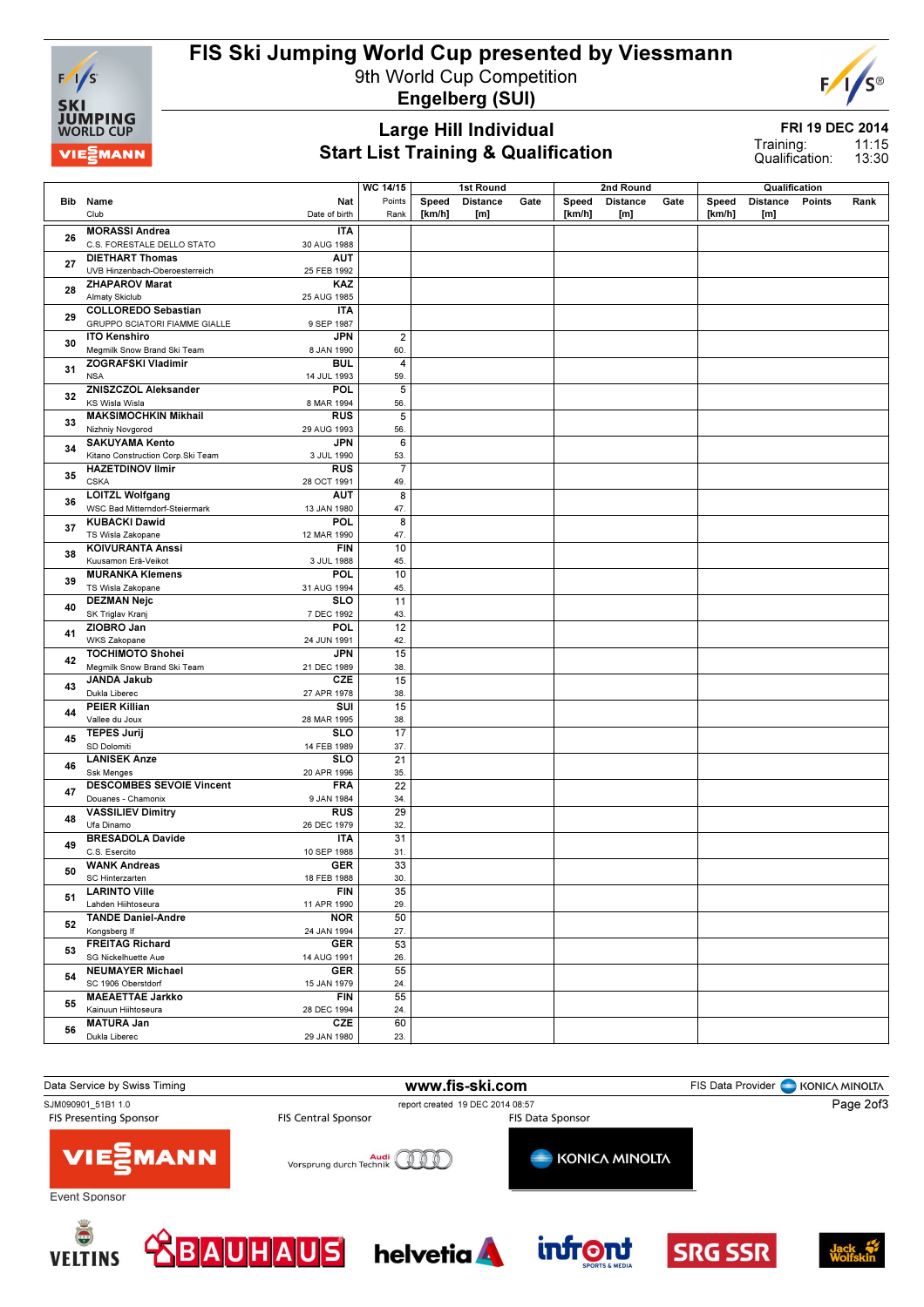

### FIS Ski Jumping World Cup presented by Viessmann

9th World Cup Competition Engelberg (SUI)



Large Hill Individual Start List Training & Qualification

FRI 19 DEC 2014

11:15 13:30 Training: Qualification:

|    |                                                                                   | <b>WC 14/15</b> |        | 1st Round       |      |        | 2nd Round       |      |        | Qualification   |        |      |
|----|-----------------------------------------------------------------------------------|-----------------|--------|-----------------|------|--------|-----------------|------|--------|-----------------|--------|------|
|    | Nat<br>Bib Name                                                                   | Points          | Speed  | <b>Distance</b> | Gate | Speed  | <b>Distance</b> | Gate | Speed  | <b>Distance</b> | Points | Rank |
|    | Club<br>Date of birth                                                             | Rank            | [km/h] | [m]             |      | [km/h] | [m]             |      | [km/h] | [m]             |        |      |
|    |                                                                                   |                 |        |                 |      |        |                 |      |        |                 |        |      |
| 26 | <b>MORASSI Andrea</b><br><b>ITA</b>                                               |                 |        |                 |      |        |                 |      |        |                 |        |      |
|    | C.S. FORESTALE DELLO STATO<br>30 AUG 1988<br><b>DIETHART Thomas</b><br><b>AUT</b> |                 |        |                 |      |        |                 |      |        |                 |        |      |
| 27 | UVB Hinzenbach-Oberoesterreich<br>25 FEB 1992                                     |                 |        |                 |      |        |                 |      |        |                 |        |      |
|    | KAZ                                                                               |                 |        |                 |      |        |                 |      |        |                 |        |      |
| 28 | <b>ZHAPAROV Marat</b><br>Almaty Skiclub<br>25 AUG 1985                            |                 |        |                 |      |        |                 |      |        |                 |        |      |
|    | <b>COLLOREDO Sebastian</b><br><b>ITA</b>                                          |                 |        |                 |      |        |                 |      |        |                 |        |      |
| 29 | GRUPPO SCIATORI FIAMME GIALLE<br>9 SEP 1987                                       |                 |        |                 |      |        |                 |      |        |                 |        |      |
|    | <b>ITO Kenshiro</b><br><b>JPN</b>                                                 | $\overline{2}$  |        |                 |      |        |                 |      |        |                 |        |      |
| 30 | Megmilk Snow Brand Ski Team<br>8 JAN 1990                                         | 60.             |        |                 |      |        |                 |      |        |                 |        |      |
|    | ZOGRAFSKI Vladimir<br><b>BUL</b>                                                  | $\overline{4}$  |        |                 |      |        |                 |      |        |                 |        |      |
| 31 | <b>NSA</b><br>14 JUL 1993                                                         | 59.             |        |                 |      |        |                 |      |        |                 |        |      |
|    | <b>ZNISZCZOL Aleksander</b><br>POL                                                | 5               |        |                 |      |        |                 |      |        |                 |        |      |
| 32 | KS Wisla Wisla<br>8 MAR 1994                                                      | 56.             |        |                 |      |        |                 |      |        |                 |        |      |
|    | <b>MAKSIMOCHKIN Mikhail</b><br><b>RUS</b>                                         | $\overline{5}$  |        |                 |      |        |                 |      |        |                 |        |      |
| 33 | Nizhniy Novgorod<br>29 AUG 1993                                                   | 56.             |        |                 |      |        |                 |      |        |                 |        |      |
|    | <b>JPN</b><br><b>SAKUYAMA Kento</b>                                               | $\overline{6}$  |        |                 |      |        |                 |      |        |                 |        |      |
| 34 | Kitano Construction Corp.Ski Team<br>3 JUL 1990                                   | 53.             |        |                 |      |        |                 |      |        |                 |        |      |
|    | <b>HAZETDINOV Ilmir</b><br><b>RUS</b>                                             | $\overline{7}$  |        |                 |      |        |                 |      |        |                 |        |      |
| 35 | <b>CSKA</b><br>28 OCT 1991                                                        | 49.             |        |                 |      |        |                 |      |        |                 |        |      |
|    | <b>LOITZL Wolfgang</b><br>AUT                                                     | 8               |        |                 |      |        |                 |      |        |                 |        |      |
| 36 | WSC Bad Mitterndorf-Steiermark<br>13 JAN 1980                                     | 47.             |        |                 |      |        |                 |      |        |                 |        |      |
|    | <b>KUBACKI Dawid</b><br>POL                                                       | 8               |        |                 |      |        |                 |      |        |                 |        |      |
| 37 | TS Wisla Zakopane<br>12 MAR 1990                                                  | 47.             |        |                 |      |        |                 |      |        |                 |        |      |
|    | <b>KOIVURANTA Anssi</b><br><b>FIN</b>                                             | 10              |        |                 |      |        |                 |      |        |                 |        |      |
| 38 | Kuusamon Erä-Veikot<br>3 JUL 1988                                                 | 45.             |        |                 |      |        |                 |      |        |                 |        |      |
|    | <b>MURANKA Klemens</b><br>POL                                                     | 10              |        |                 |      |        |                 |      |        |                 |        |      |
| 39 | TS Wisla Zakopane<br>31 AUG 1994                                                  | 45.             |        |                 |      |        |                 |      |        |                 |        |      |
|    | <b>DEZMAN Nejc</b><br><b>SLO</b>                                                  | 11              |        |                 |      |        |                 |      |        |                 |        |      |
| 40 | SK Triglav Krani<br>7 DEC 1992                                                    | 43.             |        |                 |      |        |                 |      |        |                 |        |      |
|    | <b>POL</b><br>ZIOBRO Jan                                                          | 12              |        |                 |      |        |                 |      |        |                 |        |      |
| 41 | WKS Zakopane<br>24 JUN 1991                                                       | 42.             |        |                 |      |        |                 |      |        |                 |        |      |
| 42 | <b>TOCHIMOTO Shohei</b><br><b>JPN</b>                                             | 15              |        |                 |      |        |                 |      |        |                 |        |      |
|    | Megmilk Snow Brand Ski Team<br>21 DEC 1989                                        | 38.             |        |                 |      |        |                 |      |        |                 |        |      |
| 43 | <b>JANDA Jakub</b><br>CZE                                                         | 15              |        |                 |      |        |                 |      |        |                 |        |      |
|    | Dukla Liberec<br>27 APR 1978                                                      | 38.             |        |                 |      |        |                 |      |        |                 |        |      |
| 44 | <b>PEIER Killian</b><br>SUI                                                       | 15              |        |                 |      |        |                 |      |        |                 |        |      |
|    | Vallee du Joux<br>28 MAR 1995                                                     | 38.             |        |                 |      |        |                 |      |        |                 |        |      |
| 45 | <b>SLO</b><br><b>TEPES Jurij</b>                                                  | 17              |        |                 |      |        |                 |      |        |                 |        |      |
|    | SD Dolomiti<br>14 FEB 1989                                                        | 37.             |        |                 |      |        |                 |      |        |                 |        |      |
| 46 | <b>LANISEK Anze</b><br><b>SLO</b>                                                 | 21              |        |                 |      |        |                 |      |        |                 |        |      |
|    | <b>Ssk Menges</b><br>20 APR 1996                                                  | 35.             |        |                 |      |        |                 |      |        |                 |        |      |
| 47 | <b>DESCOMBES SEVOIE Vincent</b><br><b>FRA</b>                                     | $\overline{22}$ |        |                 |      |        |                 |      |        |                 |        |      |
|    | Douanes - Chamonix<br>9 JAN 1984                                                  | 34.             |        |                 |      |        |                 |      |        |                 |        |      |
| 48 | <b>VASSILIEV Dimitry</b><br><b>RUS</b>                                            | 29              |        |                 |      |        |                 |      |        |                 |        |      |
|    | Ufa Dinamo<br>26 DEC 1979<br><b>BRESADOLA Davide</b><br><b>ITA</b>                | 32.<br>31       |        |                 |      |        |                 |      |        |                 |        |      |
| 49 | C.S. Esercito<br>10 SEP 1988                                                      | 31.             |        |                 |      |        |                 |      |        |                 |        |      |
|    | <b>WANK Andreas</b><br>GER                                                        | 33              |        |                 |      |        |                 |      |        |                 |        |      |
| 50 | SC Hinterzarten<br>18 FEB 1988                                                    | 30.             |        |                 |      |        |                 |      |        |                 |        |      |
|    | <b>LARINTO Ville</b><br><b>FIN</b>                                                | 35              |        |                 |      |        |                 |      |        |                 |        |      |
| 51 | Lahden Hiihtoseura<br>11 APR 1990                                                 | 29.             |        |                 |      |        |                 |      |        |                 |        |      |
|    | <b>TANDE Daniel-Andre</b><br><b>NOR</b>                                           | 50              |        |                 |      |        |                 |      |        |                 |        |      |
| 52 | Kongsberg If<br>24 JAN 1994                                                       | 27.             |        |                 |      |        |                 |      |        |                 |        |      |
|    | <b>FREITAG Richard</b><br><b>GER</b>                                              | 53              |        |                 |      |        |                 |      |        |                 |        |      |
| 53 | SG Nickelhuette Aue<br>14 AUG 1991                                                | 26.             |        |                 |      |        |                 |      |        |                 |        |      |
|    | <b>NEUMAYER Michael</b><br><b>GER</b>                                             | 55              |        |                 |      |        |                 |      |        |                 |        |      |
| 54 | SC 1906 Oberstdorf<br>15 JAN 1979                                                 | 24.             |        |                 |      |        |                 |      |        |                 |        |      |
|    | <b>MAEAETTAE Jarkko</b><br><b>FIN</b>                                             | 55              |        |                 |      |        |                 |      |        |                 |        |      |
| 55 | Kainuun Hiihtoseura<br>28 DEC 1994                                                | 24.             |        |                 |      |        |                 |      |        |                 |        |      |
|    | <b>MATURA Jan</b><br>CZE                                                          | 60              |        |                 |      |        |                 |      |        |                 |        |      |
| 56 | Dukla Liberec<br>29 JAN 1980                                                      | 23.             |        |                 |      |        |                 |      |        |                 |        |      |